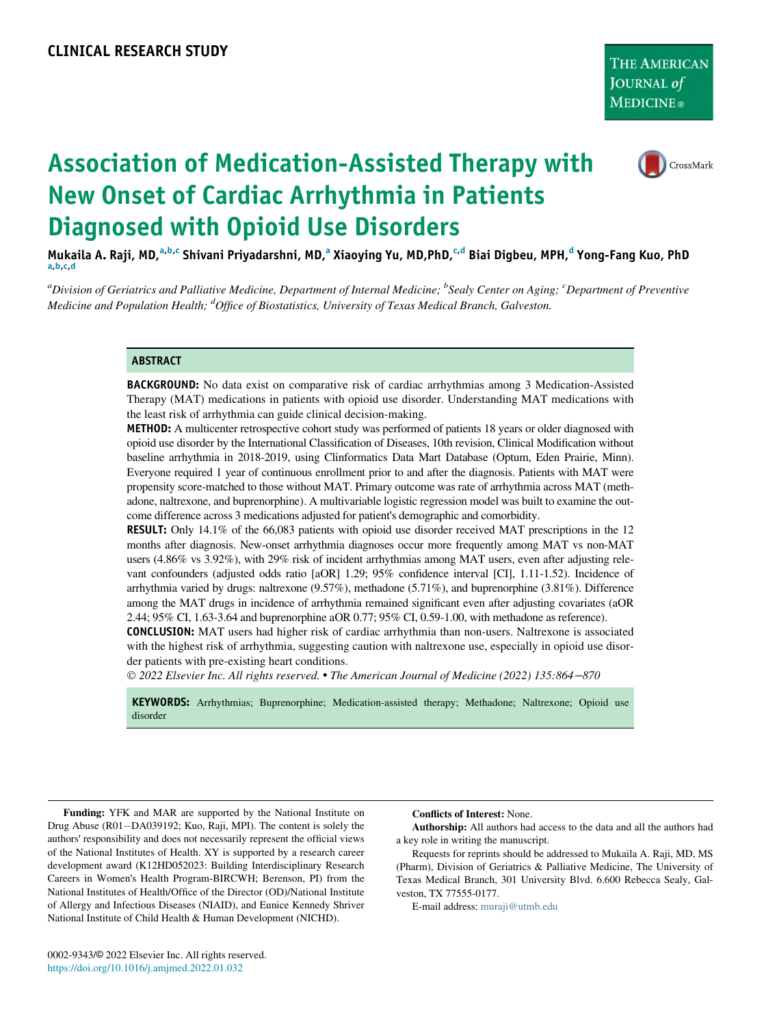

# Association of Medication-Assisted Therapy with New Onset of Cardiac Arrhythmia in Patients Diagnosed with Opioid Use Disorders

Mukaila A. Raji, MD,<sup>[a,b,c](#page-0-0)</sup> Shiv[a](#page-0-0)ni Priyadarshni, MD,<sup>a</sup> Xiaoying Yu, MD,PhD,<sup>[c](#page-0-0)[,d](#page-0-1)</sup> Biai Digbeu, MPH,<sup>[d](#page-0-1)</sup> Yong-Fang Kuo, PhD<br>a,[b,c](#page-0-0),d

<span id="page-0-1"></span><span id="page-0-0"></span><sup>a</sup>Division of Geriatrics and Palliative Medicine, Department of Internal Medicine; <sup>b</sup>Sealy Center on Aging; <sup>c</sup>Department of Preventive Medicine and Population Health; <sup>d</sup>Office of Biostatistics, University of Texas Medical Branch, Galveston.

#### ABSTRACT

BACKGROUND: No data exist on comparative risk of cardiac arrhythmias among 3 Medication-Assisted Therapy (MAT) medications in patients with opioid use disorder. Understanding MAT medications with the least risk of arrhythmia can guide clinical decision-making.

METHOD: A multicenter retrospective cohort study was performed of patients 18 years or older diagnosed with opioid use disorder by the International Classification of Diseases, 10th revision, Clinical Modification without baseline arrhythmia in 2018-2019, using Clinformatics Data Mart Database (Optum, Eden Prairie, Minn). Everyone required 1 year of continuous enrollment prior to and after the diagnosis. Patients with MAT were propensity score-matched to those without MAT. Primary outcome was rate of arrhythmia across MAT (methadone, naltrexone, and buprenorphine). A multivariable logistic regression model was built to examine the outcome difference across 3 medications adjusted for patient's demographic and comorbidity.

**RESULT:** Only 14.1% of the 66,083 patients with opioid use disorder received MAT prescriptions in the 12 months after diagnosis. New-onset arrhythmia diagnoses occur more frequently among MAT vs non-MAT users (4.86% vs 3.92%), with 29% risk of incident arrhythmias among MAT users, even after adjusting relevant confounders (adjusted odds ratio [aOR] 1.29; 95% confidence interval [CI], 1.11-1.52). Incidence of arrhythmia varied by drugs: naltrexone (9.57%), methadone (5.71%), and buprenorphine (3.81%). Difference among the MAT drugs in incidence of arrhythmia remained significant even after adjusting covariates (aOR 2.44; 95% CI, 1.63-3.64 and buprenorphine aOR 0.77; 95% CI, 0.59-1.00, with methadone as reference).

CONCLUSION: MAT users had higher risk of cardiac arrhythmia than non-users. Naltrexone is associated with the highest risk of arrhythmia, suggesting caution with naltrexone use, especially in opioid use disorder patients with pre-existing heart conditions.

2022 Elsevier Inc. All rights reserved. The American Journal of Medicine (2022) 135:864−870

KEYWORDS: Arrhythmias; Buprenorphine; Medication-assisted therapy; Methadone; Naltrexone; Opioid use disorder

Funding: YFK and MAR are supported by the National Institute on Drug Abuse (R01-DA039192; Kuo, Raji, MPI). The content is solely the authors' responsibility and does not necessarily represent the official views of the National Institutes of Health. XY is supported by a research career development award (K12HD052023: Building Interdisciplinary Research Careers in Women's Health Program-BIRCWH; Berenson, PI) from the National Institutes of Health/Office of the Director (OD)/National Institute of Allergy and Infectious Diseases (NIAID), and Eunice Kennedy Shriver National Institute of Child Health & Human Development (NICHD).

Conflicts of Interest: None.

Authorship: All authors had access to the data and all the authors had a key role in writing the manuscript.

Requests for reprints should be addressed to Mukaila A. Raji, MD, MS (Pharm), Division of Geriatrics & Palliative Medicine, The University of Texas Medical Branch, 301 University Blvd. 6.600 Rebecca Sealy, Galveston, TX 77555-0177.

E-mail address: [muraji@utmb.edu](mailto:muraji@utmb.edu)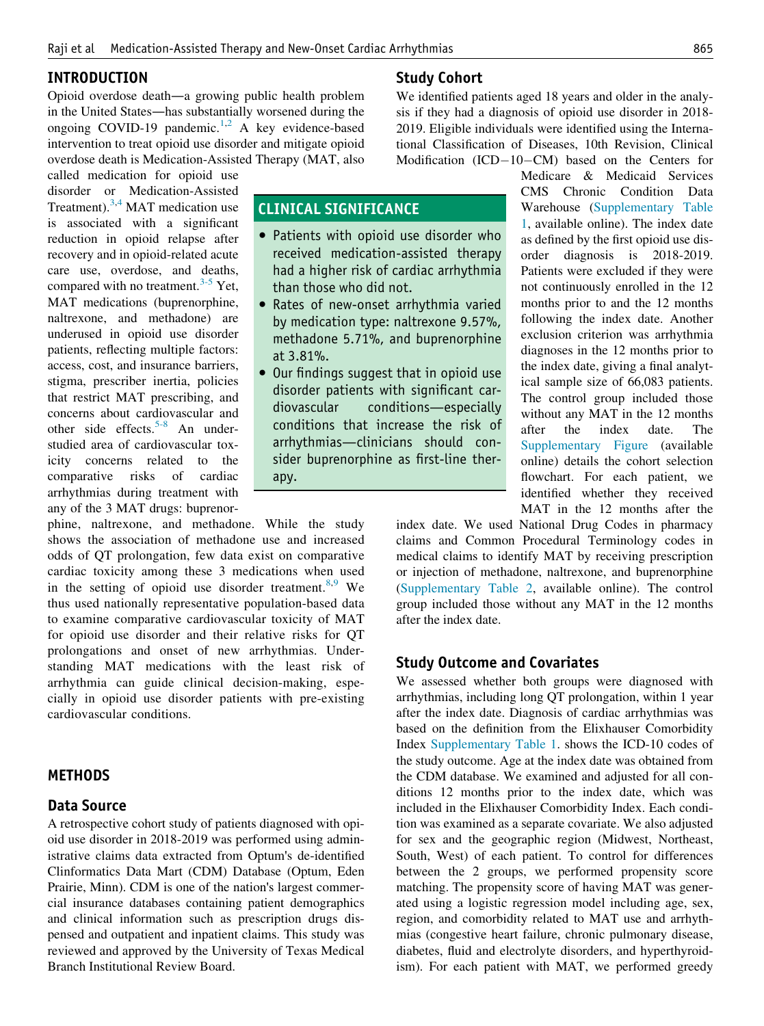CLINICAL SIGNIFICANCE

than those who did not.

at 3.81%.

apy.

• Patients with opioid use disorder who received medication-assisted therapy had a higher risk of cardiac arrhythmia

 Rates of new-onset arrhythmia varied by medication type: naltrexone 9.57%, methadone 5.71%, and buprenorphine

 Our findings suggest that in opioid use disorder patients with significant cardiovascular conditions—especially conditions that increase the risk of arrhythmias—clinicians should consider buprenorphine as first-line ther-

#### INTRODUCTION

Opioid overdose death—a growing public health problem in the United States—has substantially worsened during the ongoing COVID-19 pandemic.<sup>[1,](#page-6-0)[2](#page-6-1)</sup> A key evidence-based intervention to treat opioid use disorder and mitigate opioid overdose death is Medication-Assisted Therapy (MAT, also

called medication for opioid use disorder or Medication-Assisted Treatment).<sup>[3](#page-6-2)[,4](#page-6-3)</sup> MAT medication use is associated with a significant reduction in opioid relapse after recovery and in opioid-related acute care use, overdose, and deaths, compared with no treatment.<sup>[3-5](#page-6-2)</sup> Yet, MAT medications (buprenorphine, naltrexone, and methadone) are underused in opioid use disorder patients, reflecting multiple factors: access, cost, and insurance barriers, stigma, prescriber inertia, policies that restrict MAT prescribing, and concerns about cardiovascular and other side effects.<sup>[5-8](#page-6-4)</sup> An understudied area of cardiovascular toxicity concerns related to the comparative risks of cardiac arrhythmias during treatment with any of the 3 MAT drugs: buprenor-

phine, naltrexone, and methadone. While the study shows the association of methadone use and increased odds of QT prolongation, few data exist on comparative cardiac toxicity among these 3 medications when used in the setting of opioid use disorder treatment. $8,9$  $8,9$  We thus used nationally representative population-based data to examine comparative cardiovascular toxicity of MAT for opioid use disorder and their relative risks for QT prolongations and onset of new arrhythmias. Understanding MAT medications with the least risk of arrhythmia can guide clinical decision-making, especially in opioid use disorder patients with pre-existing cardiovascular conditions.

## **METHODS**

#### Data Source

A retrospective cohort study of patients diagnosed with opioid use disorder in 2018-2019 was performed using administrative claims data extracted from Optum's de-identified Clinformatics Data Mart (CDM) Database (Optum, Eden Prairie, Minn). CDM is one of the nation's largest commercial insurance databases containing patient demographics and clinical information such as prescription drugs dispensed and outpatient and inpatient claims. This study was reviewed and approved by the University of Texas Medical Branch Institutional Review Board.

## Study Cohort

We identified patients aged 18 years and older in the analysis if they had a diagnosis of opioid use disorder in 2018- 2019. Eligible individuals were identified using the International Classification of Diseases, 10th Revision, Clinical Modification  $(ICD-10-CM)$  based on the Centers for

> Medicare & Medicaid Services CMS Chronic Condition Data Warehouse ([Supplementary Table](#page-7-0) [1,](#page-7-0) available online). The index date as defined by the first opioid use disorder diagnosis is 2018-2019. Patients were excluded if they were not continuously enrolled in the 12 months prior to and the 12 months following the index date. Another exclusion criterion was arrhythmia diagnoses in the 12 months prior to the index date, giving a final analytical sample size of 66,083 patients. The control group included those without any MAT in the 12 months after the index date. The [Supplementary Figure](#page-7-1) (available online) details the cohort selection flowchart. For each patient, we identified whether they received MAT in the 12 months after the

index date. We used National Drug Codes in pharmacy claims and Common Procedural Terminology codes in medical claims to identify MAT by receiving prescription or injection of methadone, naltrexone, and buprenorphine [\(Supplementary Table 2,](#page-7-2) available online). The control group included those without any MAT in the 12 months after the index date.

#### Study Outcome and Covariates

We assessed whether both groups were diagnosed with arrhythmias, including long QT prolongation, within 1 year after the index date. Diagnosis of cardiac arrhythmias was based on the definition from the Elixhauser Comorbidity Index [Supplementary Table 1](#page-7-0). shows the ICD-10 codes of the study outcome. Age at the index date was obtained from the CDM database. We examined and adjusted for all conditions 12 months prior to the index date, which was included in the Elixhauser Comorbidity Index. Each condition was examined as a separate covariate. We also adjusted for sex and the geographic region (Midwest, Northeast, South, West) of each patient. To control for differences between the 2 groups, we performed propensity score matching. The propensity score of having MAT was generated using a logistic regression model including age, sex, region, and comorbidity related to MAT use and arrhythmias (congestive heart failure, chronic pulmonary disease, diabetes, fluid and electrolyte disorders, and hyperthyroidism). For each patient with MAT, we performed greedy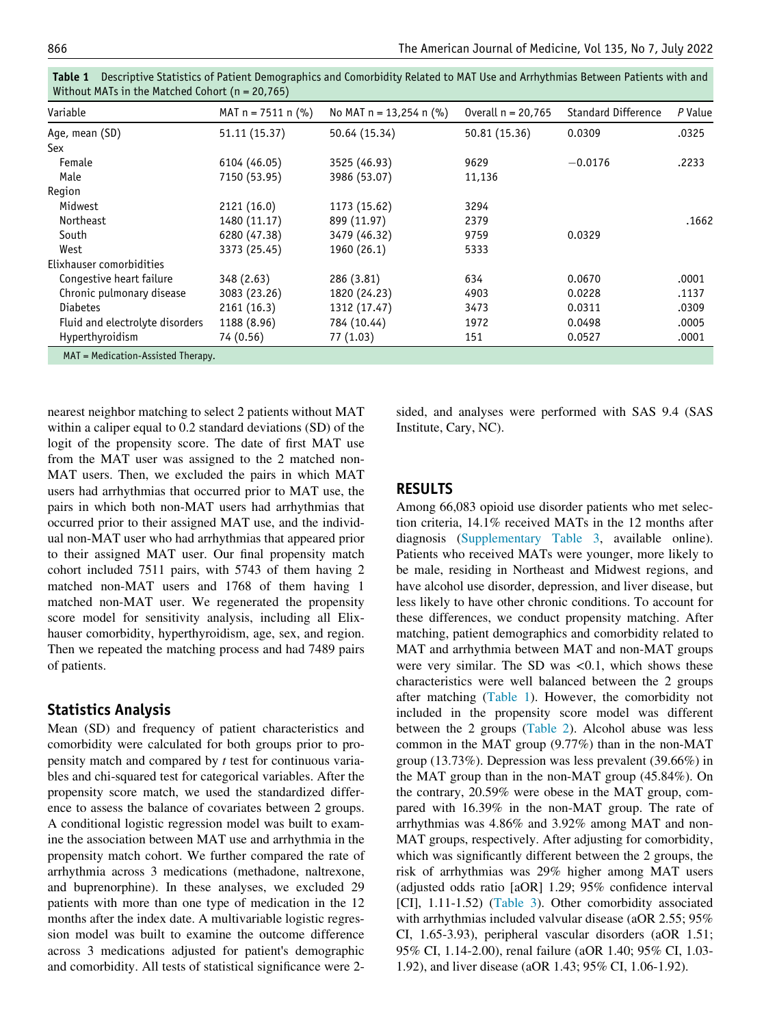| Variable                        | MAT $n = 7511$ n $(\%)$ | No MAT $n = 13,254$ n (%) | Overall $n = 20,765$ | <b>Standard Difference</b> | P Value |
|---------------------------------|-------------------------|---------------------------|----------------------|----------------------------|---------|
| Age, mean (SD)                  | 51.11 (15.37)           | 50.64 (15.34)             | 50.81 (15.36)        | 0.0309                     | .0325   |
| Sex                             |                         |                           |                      |                            |         |
| Female                          | 6104 (46.05)            | 3525 (46.93)              | 9629                 | $-0.0176$                  | .2233   |
| Male                            | 7150 (53.95)            | 3986 (53.07)              | 11,136               |                            |         |
| Region                          |                         |                           |                      |                            |         |
| Midwest                         | 2121 (16.0)             | 1173 (15.62)              | 3294                 |                            |         |
| Northeast                       | 1480 (11.17)            | 899 (11.97)               | 2379                 |                            | .1662   |
| South                           | 6280 (47.38)            | 3479 (46.32)              | 9759                 | 0.0329                     |         |
| West                            | 3373 (25.45)            | 1960 (26.1)               | 5333                 |                            |         |
| Elixhauser comorbidities        |                         |                           |                      |                            |         |
| Congestive heart failure        | 348 (2.63)              | 286 (3.81)                | 634                  | 0.0670                     | .0001   |
| Chronic pulmonary disease       | 3083 (23.26)            | 1820 (24.23)              | 4903                 | 0.0228                     | .1137   |
| <b>Diabetes</b>                 | 2161(16.3)              | 1312 (17.47)              | 3473                 | 0.0311                     | .0309   |
| Fluid and electrolyte disorders | 1188 (8.96)             | 784 (10.44)               | 1972                 | 0.0498                     | .0005   |
| Hyperthyroidism                 | 74 (0.56)               | 77 (1.03)                 | 151                  | 0.0527                     | .0001   |

<span id="page-2-0"></span>Table 1 Descriptive Statistics of Patient Demographics and Comorbidity Related to MAT Use and Arrhythmias Between Patients with and Without MATs in the Matched Cohort (n = 20,765)

nearest neighbor matching to select 2 patients without MAT within a caliper equal to 0.2 standard deviations (SD) of the logit of the propensity score. The date of first MAT use from the MAT user was assigned to the 2 matched non-MAT users. Then, we excluded the pairs in which MAT users had arrhythmias that occurred prior to MAT use, the pairs in which both non-MAT users had arrhythmias that occurred prior to their assigned MAT use, and the individual non-MAT user who had arrhythmias that appeared prior to their assigned MAT user. Our final propensity match cohort included 7511 pairs, with 5743 of them having 2 matched non-MAT users and 1768 of them having 1 matched non-MAT user. We regenerated the propensity score model for sensitivity analysis, including all Elixhauser comorbidity, hyperthyroidism, age, sex, and region. Then we repeated the matching process and had 7489 pairs of patients.

## Statistics Analysis

Mean (SD) and frequency of patient characteristics and comorbidity were calculated for both groups prior to propensity match and compared by t test for continuous variables and chi-squared test for categorical variables. After the propensity score match, we used the standardized difference to assess the balance of covariates between 2 groups. A conditional logistic regression model was built to examine the association between MAT use and arrhythmia in the propensity match cohort. We further compared the rate of arrhythmia across 3 medications (methadone, naltrexone, and buprenorphine). In these analyses, we excluded 29 patients with more than one type of medication in the 12 months after the index date. A multivariable logistic regression model was built to examine the outcome difference across 3 medications adjusted for patient's demographic and comorbidity. All tests of statistical significance were 2sided, and analyses were performed with SAS 9.4 (SAS Institute, Cary, NC).

## RESULTS

Among 66,083 opioid use disorder patients who met selection criteria, 14.1% received MATs in the 12 months after diagnosis ([Supplementary Table 3](#page-8-0), available online). Patients who received MATs were younger, more likely to be male, residing in Northeast and Midwest regions, and have alcohol use disorder, depression, and liver disease, but less likely to have other chronic conditions. To account for these differences, we conduct propensity matching. After matching, patient demographics and comorbidity related to MAT and arrhythmia between MAT and non-MAT groups were very similar. The SD was  $\langle 0.1$ , which shows these characteristics were well balanced between the 2 groups after matching [\(Table 1](#page-2-0)). However, the comorbidity not included in the propensity score model was different between the 2 groups [\(Table 2](#page-3-0)). Alcohol abuse was less common in the MAT group (9.77%) than in the non-MAT group (13.73%). Depression was less prevalent (39.66%) in the MAT group than in the non-MAT group (45.84%). On the contrary, 20.59% were obese in the MAT group, compared with 16.39% in the non-MAT group. The rate of arrhythmias was 4.86% and 3.92% among MAT and non-MAT groups, respectively. After adjusting for comorbidity, which was significantly different between the 2 groups, the risk of arrhythmias was 29% higher among MAT users (adjusted odds ratio [aOR] 1.29; 95% confidence interval [CI], 1.11-1.52) [\(Table 3](#page-3-1)). Other comorbidity associated with arrhythmias included valvular disease (aOR 2.55; 95% CI, 1.65-3.93), peripheral vascular disorders (aOR 1.51; 95% CI, 1.14-2.00), renal failure (aOR 1.40; 95% CI, 1.03- 1.92), and liver disease (aOR 1.43; 95% CI, 1.06-1.92).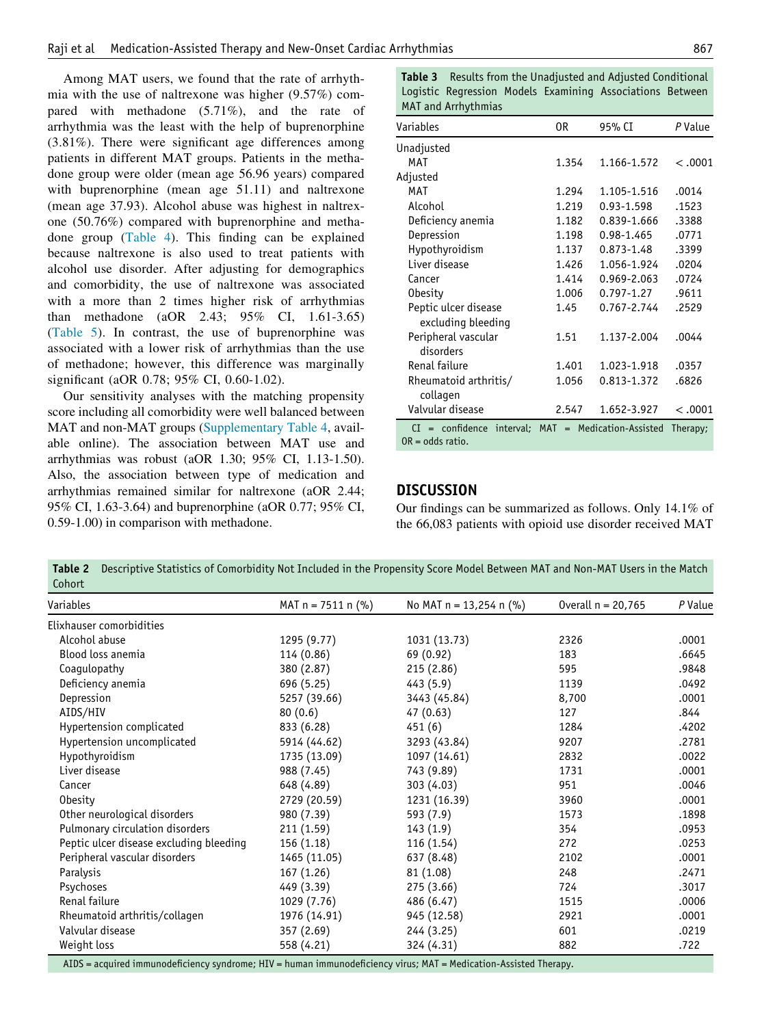<span id="page-3-1"></span>Among MAT users, we found that the rate of arrhythmia with the use of naltrexone was higher (9.57%) compared with methadone (5.71%), and the rate of arrhythmia was the least with the help of buprenorphine (3.81%). There were significant age differences among patients in different MAT groups. Patients in the methadone group were older (mean age 56.96 years) compared with buprenorphine (mean age 51.11) and naltrexone (mean age 37.93). Alcohol abuse was highest in naltrexone (50.76%) compared with buprenorphine and methadone group ([Table 4\)](#page-4-0). This finding can be explained because naltrexone is also used to treat patients with alcohol use disorder. After adjusting for demographics and comorbidity, the use of naltrexone was associated with a more than 2 times higher risk of arrhythmias than methadone (aOR 2.43; 95% CI, 1.61-3.65) [\(Table 5\)](#page-5-0). In contrast, the use of buprenorphine was associated with a lower risk of arrhythmias than the use of methadone; however, this difference was marginally significant (aOR 0.78; 95% CI, 0.60-1.02).

Our sensitivity analyses with the matching propensity score including all comorbidity were well balanced between MAT and non-MAT groups ([Supplementary Table 4](#page-9-0), available online). The association between MAT use and arrhythmias was robust (aOR 1.30; 95% CI, 1.13-1.50). Also, the association between type of medication and arrhythmias remained similar for naltrexone (aOR 2.44; 95% CI, 1.63-3.64) and buprenorphine (aOR 0.77; 95% CI, 0.59-1.00) in comparison with methadone.

Table 3 Results from the Unadjusted and Adjusted Conditional Logistic Regression Models Examining Associations Between MAT and Arrhythmias

| Variables                                                                   | 0R    | 95% CI         | P Value  |
|-----------------------------------------------------------------------------|-------|----------------|----------|
| Unadjusted                                                                  |       |                |          |
| MAT                                                                         | 1.354 | 1.166-1.572    | < .0001  |
| Adjusted                                                                    |       |                |          |
| <b>MAT</b>                                                                  | 1.294 | 1.105-1.516    | .0014    |
| Alcohol                                                                     | 1.219 | 0.93-1.598     | .1523    |
| Deficiency anemia                                                           | 1.182 | 0.839-1.666    | .3388    |
| Depression                                                                  | 1.198 | 0.98-1.465     | .0771    |
| Hypothyroidism                                                              | 1.137 | $0.873 - 1.48$ | .3399    |
| Liver disease                                                               | 1.426 | 1.056-1.924    | .0204    |
| Cancer                                                                      | 1.414 | 0.969-2.063    | .0724    |
| <b>Obesity</b>                                                              | 1.006 | 0.797-1.27     | .9611    |
| Peptic ulcer disease<br>excluding bleeding                                  | 1.45  | 0.767-2.744    | .2529    |
| Peripheral vascular<br>disorders                                            | 1.51  | 1.137-2.004    | .0044    |
| Renal failure                                                               | 1.401 | 1.023-1.918    | .0357    |
| Rheumatoid arthritis/<br>collagen                                           | 1.056 | 0.813-1.372    | .6826    |
| Valvular disease                                                            | 2.547 | 1.652-3.927    | < .0001  |
| $CI = confidence$ interval; MAT = Medication-Assisted<br>$OR = odds ratio.$ |       |                | Therapy; |

#### **DISCUSSION**

Our findings can be summarized as follows. Only 14.1% of the 66,083 patients with opioid use disorder received MAT

<span id="page-3-0"></span>Table 2 Descriptive Statistics of Comorbidity Not Included in the Propensity Score Model Between MAT and Non-MAT Users in the Match Cohort

| <b>CULLUIL</b>                          |                                                        |                         |                      |         |
|-----------------------------------------|--------------------------------------------------------|-------------------------|----------------------|---------|
| Variables                               | MAT $n = 7511$ n $(\%)$                                | No MAT n = 13,254 n (%) | Overall $n = 20,765$ | P Value |
| Elixhauser comorbidities                |                                                        |                         |                      |         |
| Alcohol abuse                           | 1295 (9.77)                                            | 1031 (13.73)            | 2326                 | .0001   |
| Blood loss anemia                       | 114 (0.86)                                             | 69 (0.92)               | 183                  | .6645   |
| Coagulopathy                            | 380 (2.87)                                             | 215(2.86)               | 595                  | .9848   |
| Deficiency anemia                       | 696 (5.25)                                             | 443 (5.9)               | 1139                 | .0492   |
| Depression                              | 5257 (39.66)                                           | 3443 (45.84)            | 8,700                | .0001   |
| AIDS/HIV                                | 80(0.6)                                                | 47 (0.63)               | 127                  | .844    |
| Hypertension complicated                | 833 (6.28)                                             | 451 (6)                 | 1284                 | .4202   |
| Hypertension uncomplicated              | 5914 (44.62)                                           | 3293 (43.84)            | 9207                 | .2781   |
| Hypothyroidism                          | 1735 (13.09)                                           | 1097 (14.61)            | 2832                 | .0022   |
| Liver disease                           | 988 (7.45)                                             | 743 (9.89)              | 1731                 | .0001   |
| Cancer                                  | 648 (4.89)                                             | 303 (4.03)              | 951                  | .0046   |
| <b>Obesity</b>                          | 2729 (20.59)                                           | 1231 (16.39)            | 3960                 | .0001   |
| Other neurological disorders            | 980 (7.39)                                             | 593 (7.9)               | 1573                 | .1898   |
| Pulmonary circulation disorders         | 211 (1.59)                                             | 143(1.9)                | 354                  | .0953   |
| Peptic ulcer disease excluding bleeding | 156 (1.18)                                             | 116 (1.54)              | 272                  | .0253   |
| Peripheral vascular disorders           | 1465 (11.05)                                           | 637 (8.48)              | 2102                 | .0001   |
| Paralysis                               | 167 (1.26)                                             | 81 (1.08)               | 248                  | .2471   |
| Psychoses                               | 449 (3.39)                                             | 275 (3.66)              | 724                  | .3017   |
| Renal failure                           | 1029 (7.76)                                            | 486 (6.47)              | 1515                 | .0006   |
| Rheumatoid arthritis/collagen           | 1976 (14.91)                                           | 945 (12.58)             | 2921                 | .0001   |
| Valvular disease                        | 357 (2.69)                                             | 244 (3.25)              | 601                  | .0219   |
| Weight loss                             | 558 (4.21)                                             | 324 (4.31)              | 882                  | .722    |
| ATDC                                    | $\sim$ $\sim$ $\sim$ $\sim$ $\sim$<br>$1.1732 \pm 1.1$ | $\mathbf{M}$            |                      |         |

AIDS = acquired immunodeficiency syndrome; HIV = human immunodeficiency virus; MAT = Medication-Assisted Therapy.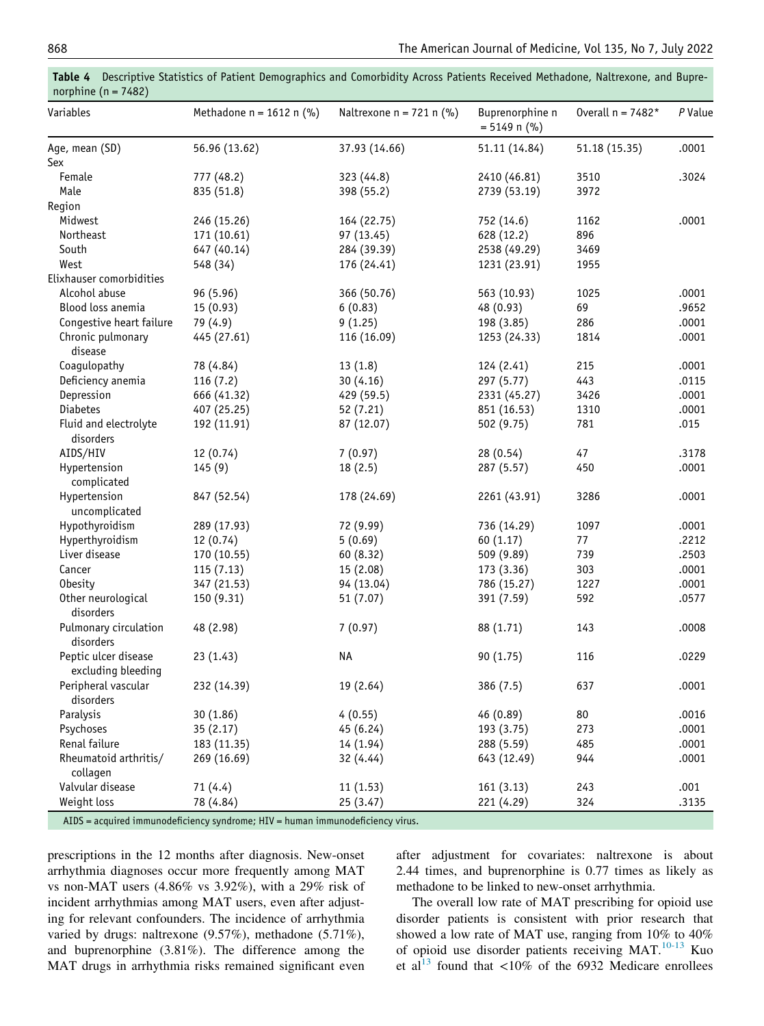| Variables                                  | Methadone $n = 1612$ n (%) | Naltrexone $n = 721$ n (%) | Buprenorphine n<br>$= 5149$ n (%) | Overall $n = 7482*$ | P Value |
|--------------------------------------------|----------------------------|----------------------------|-----------------------------------|---------------------|---------|
| Age, mean (SD)                             | 56.96 (13.62)              | 37.93 (14.66)              | 51.11 (14.84)                     | 51.18 (15.35)       | .0001   |
| Sex                                        |                            |                            |                                   |                     |         |
| Female                                     | 777 (48.2)                 | 323 (44.8)                 | 2410 (46.81)                      | 3510                | .3024   |
| Male                                       | 835 (51.8)                 | 398 (55.2)                 | 2739 (53.19)                      | 3972                |         |
| Region                                     |                            |                            |                                   |                     |         |
| Midwest                                    | 246 (15.26)                | 164 (22.75)                | 752 (14.6)                        | 1162                | .0001   |
| Northeast                                  | 171 (10.61)                | 97 (13.45)                 | 628 (12.2)                        | 896                 |         |
| South                                      | 647 (40.14)                | 284 (39.39)                | 2538 (49.29)                      | 3469                |         |
| West                                       | 548 (34)                   | 176 (24.41)                | 1231 (23.91)                      | 1955                |         |
| Elixhauser comorbidities                   |                            |                            |                                   |                     |         |
| Alcohol abuse                              | 96 (5.96)                  | 366 (50.76)                | 563 (10.93)                       | 1025                | .0001   |
| Blood loss anemia                          | 15 (0.93)                  | 6(0.83)                    | 48 (0.93)                         | 69                  | .9652   |
| Congestive heart failure                   | 79 (4.9)                   | 9(1.25)                    | 198 (3.85)                        | 286                 | .0001   |
| Chronic pulmonary<br>disease               | 445 (27.61)                | 116 (16.09)                | 1253 (24.33)                      | 1814                | .0001   |
| Coagulopathy                               | 78 (4.84)                  | 13(1.8)                    | 124 (2.41)                        | 215                 | .0001   |
| Deficiency anemia                          | 116(7.2)                   | 30(4.16)                   | 297 (5.77)                        | 443                 | .0115   |
| Depression                                 | 666 (41.32)                | 429 (59.5)                 | 2331 (45.27)                      | 3426                | .0001   |
| <b>Diabetes</b>                            | 407 (25.25)                | 52 (7.21)                  | 851 (16.53)                       | 1310                | .0001   |
| Fluid and electrolyte<br>disorders         | 192 (11.91)                | 87 (12.07)                 | 502 (9.75)                        | 781                 | .015    |
| AIDS/HIV                                   | 12(0.74)                   | 7(0.97)                    | 28(0.54)                          | 47                  | .3178   |
| Hypertension<br>complicated                | 145(9)                     | 18(2.5)                    | 287 (5.57)                        | 450                 | .0001   |
| Hypertension<br>uncomplicated              | 847 (52.54)                | 178 (24.69)                | 2261 (43.91)                      | 3286                | .0001   |
| Hypothyroidism                             | 289 (17.93)                | 72 (9.99)                  | 736 (14.29)                       | 1097                | .0001   |
| Hyperthyroidism                            | 12 (0.74)                  | 5(0.69)                    | 60 (1.17)                         | 77                  | .2212   |
| Liver disease                              | 170 (10.55)                | 60 (8.32)                  | 509 (9.89)                        | 739                 | .2503   |
| Cancer                                     | 115(7.13)                  | 15 (2.08)                  | 173 (3.36)                        | 303                 | .0001   |
| <b>Obesity</b>                             | 347 (21.53)                | 94 (13.04)                 | 786 (15.27)                       | 1227                | .0001   |
| Other neurological<br>disorders            | 150 (9.31)                 | 51 (7.07)                  | 391 (7.59)                        | 592                 | .0577   |
| Pulmonary circulation<br>disorders         | 48 (2.98)                  | 7(0.97)                    | 88 (1.71)                         | 143                 | .0008   |
| Peptic ulcer disease<br>excluding bleeding | 23(1.43)                   | <b>NA</b>                  | 90 (1.75)                         | 116                 | .0229   |
| Peripheral vascular<br>disorders           | 232 (14.39)                | 19 (2.64)                  | 386 (7.5)                         | 637                 | .0001   |
| Paralysis                                  | 30 (1.86)                  | 4(0.55)                    | 46 (0.89)                         | 80                  | .0016   |
| Psychoses                                  | 35(2.17)                   | 45 (6.24)                  | 193 (3.75)                        | 273                 | .0001   |
| Renal failure                              | 183 (11.35)                | 14 (1.94)                  | 288 (5.59)                        | 485                 | .0001   |
| Rheumatoid arthritis/<br>collagen          | 269 (16.69)                | 32 (4.44)                  | 643 (12.49)                       | 944                 | .0001   |
| Valvular disease                           | 71(4.4)                    | 11(1.53)                   | 161(3.13)                         | 243                 | .001    |
| Weight loss                                | 78 (4.84)                  | 25 (3.47)                  | 221 (4.29)                        | 324                 | .3135   |

<span id="page-4-0"></span>Table 4 Descriptive Statistics of Patient Demographics and Comorbidity Across Patients Received Methadone, Naltrexone, and Buprenorphine ( $n = 7482$ )

AIDS = acquired immunodeficiency syndrome; HIV = human immunodeficiency virus.

prescriptions in the 12 months after diagnosis. New-onset arrhythmia diagnoses occur more frequently among MAT vs non-MAT users (4.86% vs 3.92%), with a 29% risk of incident arrhythmias among MAT users, even after adjusting for relevant confounders. The incidence of arrhythmia varied by drugs: naltrexone (9.57%), methadone (5.71%), and buprenorphine (3.81%). The difference among the MAT drugs in arrhythmia risks remained significant even

after adjustment for covariates: naltrexone is about 2.44 times, and buprenorphine is 0.77 times as likely as methadone to be linked to new-onset arrhythmia.

The overall low rate of MAT prescribing for opioid use disorder patients is consistent with prior research that showed a low rate of MAT use, ranging from 10% to 40% of opioid use disorder patients receiving MAT.<sup>[10-13](#page-6-7)</sup> Kuo et al<sup>[13](#page-6-8)</sup> found that  $\langle 10\%$  of the 6932 Medicare enrollees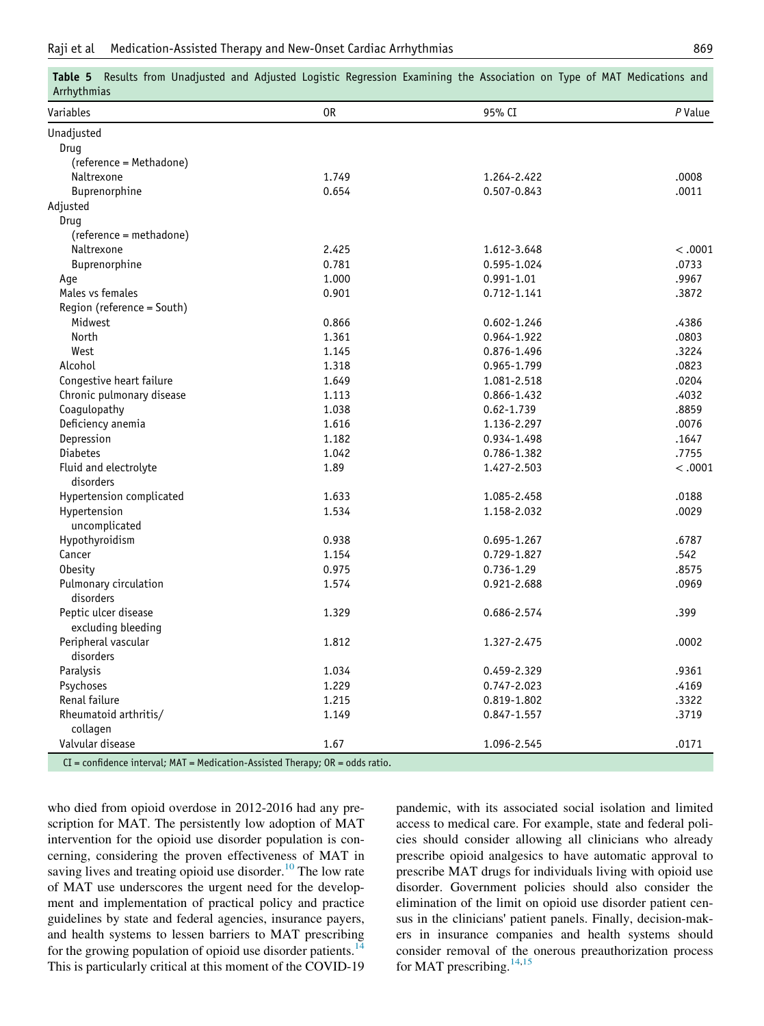| Afflythmias                                |                |             |                |
|--------------------------------------------|----------------|-------------|----------------|
| Variables                                  | 0 <sub>R</sub> | 95% CI      | P Value        |
| Unadjusted                                 |                |             |                |
| Drug                                       |                |             |                |
| (reference = Methadone)                    |                |             |                |
| Naltrexone                                 | 1.749          | 1.264-2.422 | .0008          |
| <b>Buprenorphine</b>                       | 0.654          | 0.507-0.843 | .0011          |
| Adjusted                                   |                |             |                |
| Drug                                       |                |             |                |
| (reference = methadone)                    |                |             |                |
| Naltrexone                                 | 2.425          | 1.612-3.648 | < .0001        |
| Buprenorphine                              | 0.781          | 0.595-1.024 | .0733          |
| Age                                        | 1.000          | 0.991-1.01  | .9967          |
| Males vs females                           | 0.901          | 0.712-1.141 | .3872          |
| Region (reference = South)                 |                |             |                |
| Midwest                                    | 0.866          | 0.602-1.246 | .4386          |
| North                                      | 1.361          | 0.964-1.922 | .0803          |
| West                                       | 1.145          | 0.876-1.496 | .3224          |
| Alcohol                                    | 1.318          | 0.965-1.799 | .0823          |
| Congestive heart failure                   | 1.649          | 1.081-2.518 | .0204          |
| Chronic pulmonary disease                  | 1.113          | 0.866-1.432 | .4032          |
| Coagulopathy                               | 1.038          | 0.62-1.739  | .8859          |
| Deficiency anemia                          | 1.616          | 1.136-2.297 | .0076          |
| Depression                                 | 1.182          | 0.934-1.498 | .1647          |
| <b>Diabetes</b>                            | 1.042          | 0.786-1.382 | .7755          |
| Fluid and electrolyte<br>disorders         | 1.89           | 1.427-2.503 | < .0001        |
| Hypertension complicated                   | 1.633          | 1.085-2.458 | .0188          |
| Hypertension                               | 1.534          | 1.158-2.032 | .0029          |
| uncomplicated                              |                |             |                |
| Hypothyroidism                             | 0.938          | 0.695-1.267 | .6787          |
| Cancer                                     | 1.154          | 0.729-1.827 | .542           |
| <b>Obesity</b>                             | 0.975          | 0.736-1.29  | .8575          |
| Pulmonary circulation<br>disorders         | 1.574          | 0.921-2.688 | .0969          |
| Peptic ulcer disease<br>excluding bleeding | 1.329          | 0.686-2.574 | .399           |
| Peripheral vascular                        | 1.812          | 1.327-2.475 | .0002          |
| disorders                                  |                |             |                |
| Paralysis                                  | 1.034          | 0.459-2.329 | .9361          |
| Psychoses<br>Renal failure                 | 1.229<br>1.215 | 0.747-2.023 | .4169<br>.3322 |
|                                            |                | 0.819-1.802 | .3719          |
| Rheumatoid arthritis/<br>collagen          | 1.149          | 0.847-1.557 |                |
| Valvular disease                           | 1.67           | 1.096-2.545 | .0171          |

<span id="page-5-0"></span>Table 5 Results from Unadjusted and Adjusted Logistic Regression Examining the Association on Type of MAT Medications and Arrhythmias

CI = confidence interval; MAT = Medication-Assisted Therapy; OR = odds ratio.

who died from opioid overdose in 2012-2016 had any prescription for MAT. The persistently low adoption of MAT intervention for the opioid use disorder population is concerning, considering the proven effectiveness of MAT in saving lives and treating opioid use disorder.<sup>[10](#page-6-7)</sup> The low rate of MAT use underscores the urgent need for the development and implementation of practical policy and practice guidelines by state and federal agencies, insurance payers, and health systems to lessen barriers to MAT prescribing for the growing population of opioid use disorder patients.<sup>[14](#page-6-9)</sup> This is particularly critical at this moment of the COVID-19

pandemic, with its associated social isolation and limited access to medical care. For example, state and federal policies should consider allowing all clinicians who already prescribe opioid analgesics to have automatic approval to prescribe MAT drugs for individuals living with opioid use disorder. Government policies should also consider the elimination of the limit on opioid use disorder patient census in the clinicians' patient panels. Finally, decision-makers in insurance companies and health systems should consider removal of the onerous preauthorization process for MAT prescribing. $14,15$  $14,15$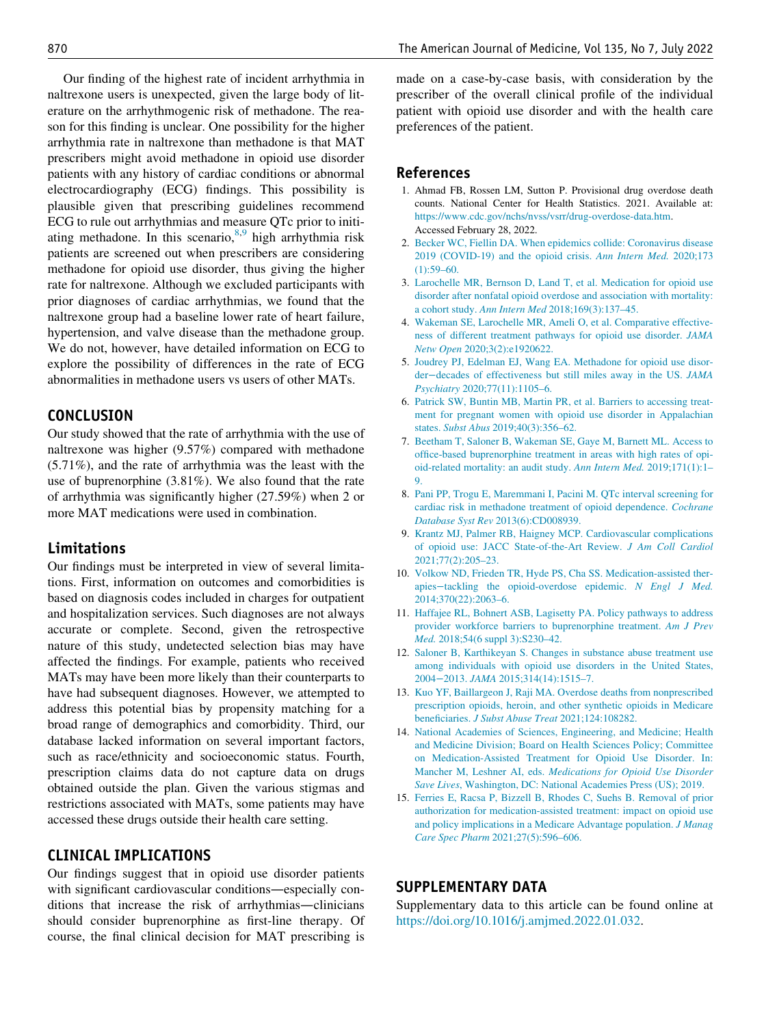<span id="page-6-1"></span><span id="page-6-0"></span>Our finding of the highest rate of incident arrhythmia in naltrexone users is unexpected, given the large body of literature on the arrhythmogenic risk of methadone. The reason for this finding is unclear. One possibility for the higher arrhythmia rate in naltrexone than methadone is that MAT prescribers might avoid methadone in opioid use disorder patients with any history of cardiac conditions or abnormal electrocardiography (ECG) findings. This possibility is plausible given that prescribing guidelines recommend ECG to rule out arrhythmias and measure QTc prior to initiating methadone. In this scenario,  $8,9$  $8,9$  high arrhythmia risk patients are screened out when prescribers are considering methadone for opioid use disorder, thus giving the higher rate for naltrexone. Although we excluded participants with prior diagnoses of cardiac arrhythmias, we found that the naltrexone group had a baseline lower rate of heart failure, hypertension, and valve disease than the methadone group. We do not, however, have detailed information on ECG to explore the possibility of differences in the rate of ECG abnormalities in methadone users vs users of other MATs.

## <span id="page-6-4"></span><span id="page-6-3"></span><span id="page-6-2"></span>**CONCLUSION**

Our study showed that the rate of arrhythmia with the use of naltrexone was higher (9.57%) compared with methadone (5.71%), and the rate of arrhythmia was the least with the use of buprenorphine (3.81%). We also found that the rate of arrhythmia was significantly higher (27.59%) when 2 or more MAT medications were used in combination.

#### <span id="page-6-6"></span><span id="page-6-5"></span>Limitations

<span id="page-6-8"></span><span id="page-6-7"></span>Our findings must be interpreted in view of several limitations. First, information on outcomes and comorbidities is based on diagnosis codes included in charges for outpatient and hospitalization services. Such diagnoses are not always accurate or complete. Second, given the retrospective nature of this study, undetected selection bias may have affected the findings. For example, patients who received MATs may have been more likely than their counterparts to have had subsequent diagnoses. However, we attempted to address this potential bias by propensity matching for a broad range of demographics and comorbidity. Third, our database lacked information on several important factors, such as race/ethnicity and socioeconomic status. Fourth, prescription claims data do not capture data on drugs obtained outside the plan. Given the various stigmas and restrictions associated with MATs, some patients may have accessed these drugs outside their health care setting.

## <span id="page-6-10"></span><span id="page-6-9"></span>CLINICAL IMPLICATIONS

Our findings suggest that in opioid use disorder patients with significant cardiovascular conditions—especially conditions that increase the risk of arrhythmias—clinicians should consider buprenorphine as first-line therapy. Of course, the final clinical decision for MAT prescribing is

made on a case-by-case basis, with consideration by the prescriber of the overall clinical profile of the individual patient with opioid use disorder and with the health care preferences of the patient.

#### References

- 1. Ahmad FB, Rossen LM, Sutton P. Provisional drug overdose death counts. National Center for Health Statistics. 2021. Available at: [https://www.cdc.gov/nchs/nvss/vsrr/drug-overdose-data.htm.](https://www.cdc.gov/nchs/nvss/vsrr/drug-overdose-data.htm) Accessed February 28, 2022.
- 2. [Becker WC, Fiellin DA. When epidemics collide: Coronavirus disease](http://refhub.elsevier.com/S0002-9343(22)00095-X/sbref0002) [2019 \(COVID-19\) and the opioid crisis.](http://refhub.elsevier.com/S0002-9343(22)00095-X/sbref0002) Ann Intern Med. 2020;173  $(1):59-60.$
- 3. [Larochelle MR, Bernson D, Land T, et al. Medication for opioid use](http://refhub.elsevier.com/S0002-9343(22)00095-X/sbref0003) [disorder after nonfatal opioid overdose and association with mortality:](http://refhub.elsevier.com/S0002-9343(22)00095-X/sbref0003) a cohort study. Ann Intern Med [2018;169\(3\):137–45.](http://refhub.elsevier.com/S0002-9343(22)00095-X/sbref0003)
- 4. [Wakeman SE, Larochelle MR, Ameli O, et al. Comparative effective](http://refhub.elsevier.com/S0002-9343(22)00095-X/sbref0004)[ness of different treatment pathways for opioid use disorder.](http://refhub.elsevier.com/S0002-9343(22)00095-X/sbref0004) JAMA Netw Open [2020;3\(2\):e1920622.](http://refhub.elsevier.com/S0002-9343(22)00095-X/sbref0004)
- 5. [Joudrey PJ, Edelman EJ, Wang EA. Methadone for opioid use disor](http://refhub.elsevier.com/S0002-9343(22)00095-X/sbref0005)der−[decades of effectiveness but still miles away in the US.](http://refhub.elsevier.com/S0002-9343(22)00095-X/sbref0005) JAMA Psychiatry [2020;77\(11\):1105–6.](http://refhub.elsevier.com/S0002-9343(22)00095-X/sbref0005)
- 6. [Patrick SW, Buntin MB, Martin PR, et al. Barriers to accessing treat](http://refhub.elsevier.com/S0002-9343(22)00095-X/sbref0006)[ment for pregnant women with opioid use disorder in Appalachian](http://refhub.elsevier.com/S0002-9343(22)00095-X/sbref0006) states. Subst Abus [2019;40\(3\):356–62.](http://refhub.elsevier.com/S0002-9343(22)00095-X/sbref0006)
- 7. [Beetham T, Saloner B, Wakeman SE, Gaye M, Barnett ML. Access to](http://refhub.elsevier.com/S0002-9343(22)00095-X/sbref0007) [office-based buprenorphine treatment in areas with high rates of opi](http://refhub.elsevier.com/S0002-9343(22)00095-X/sbref0007)[oid-related mortality: an audit study.](http://refhub.elsevier.com/S0002-9343(22)00095-X/sbref0007) Ann Intern Med. 2019;171(1):1– [9.](http://refhub.elsevier.com/S0002-9343(22)00095-X/sbref0007)
- 8. [Pani PP, Trogu E, Maremmani I, Pacini M. QTc interval screening for](http://refhub.elsevier.com/S0002-9343(22)00095-X/sbref0008) [cardiac risk in methadone treatment of opioid dependence.](http://refhub.elsevier.com/S0002-9343(22)00095-X/sbref0008) Cochrane Database Syst Rev [2013\(6\):CD008939.](http://refhub.elsevier.com/S0002-9343(22)00095-X/sbref0008)
- 9. [Krantz MJ, Palmer RB, Haigney MCP. Cardiovascular complications](http://refhub.elsevier.com/S0002-9343(22)00095-X/sbref0009) [of opioid use: JACC State-of-the-Art Review.](http://refhub.elsevier.com/S0002-9343(22)00095-X/sbref0009) J Am Coll Cardiol [2021;77\(2\):205–23.](http://refhub.elsevier.com/S0002-9343(22)00095-X/sbref0009)
- 10. [Volkow ND, Frieden TR, Hyde PS, Cha SS. Medication-assisted ther](http://refhub.elsevier.com/S0002-9343(22)00095-X/sbref0010)apies−[tackling the opioid-overdose epidemic.](http://refhub.elsevier.com/S0002-9343(22)00095-X/sbref0010) N Engl J Med. [2014;370\(22\):2063–6.](http://refhub.elsevier.com/S0002-9343(22)00095-X/sbref0010)
- 11. [Haffajee RL, Bohnert ASB, Lagisetty PA. Policy pathways to address](http://refhub.elsevier.com/S0002-9343(22)00095-X/sbref0011) [provider workforce barriers to buprenorphine treatment.](http://refhub.elsevier.com/S0002-9343(22)00095-X/sbref0011) Am J Prev Med. [2018;54\(6 suppl 3\):S230–42.](http://refhub.elsevier.com/S0002-9343(22)00095-X/sbref0011)
- 12. [Saloner B, Karthikeyan S. Changes in substance abuse treatment use](http://refhub.elsevier.com/S0002-9343(22)00095-X/sbref0012) [among individuals with opioid use disorders in the United States,](http://refhub.elsevier.com/S0002-9343(22)00095-X/sbref0012) 2004−2013. JAMA [2015;314\(14\):1515–7.](http://refhub.elsevier.com/S0002-9343(22)00095-X/sbref0012)
- 13. [Kuo YF, Baillargeon J, Raji MA. Overdose deaths from nonprescribed](http://refhub.elsevier.com/S0002-9343(22)00095-X/sbref0013) [prescription opioids, heroin, and other synthetic opioids in Medicare](http://refhub.elsevier.com/S0002-9343(22)00095-X/sbref0013) beneficiaries. [J Subst Abuse Treat](http://refhub.elsevier.com/S0002-9343(22)00095-X/sbref0013) 2021;124:108282.
- 14. [National Academies of Sciences, Engineering, and Medicine; Health](http://refhub.elsevier.com/S0002-9343(22)00095-X/sbref0014) [and Medicine Division; Board on Health Sciences Policy; Committee](http://refhub.elsevier.com/S0002-9343(22)00095-X/sbref0014) [on Medication-Assisted Treatment for Opioid Use Disorder. In:](http://refhub.elsevier.com/S0002-9343(22)00095-X/sbref0014) Mancher M, Leshner AI, eds. [Medications for Opioid Use Disorder](http://refhub.elsevier.com/S0002-9343(22)00095-X/sbref0014) Save Lives[, Washington, DC: National Academies Press \(US\); 2019.](http://refhub.elsevier.com/S0002-9343(22)00095-X/sbref0014)
- 15. [Ferries E, Racsa P, Bizzell B, Rhodes C, Suehs B. Removal of prior](http://refhub.elsevier.com/S0002-9343(22)00095-X/sbref0015) [authorization for medication-assisted treatment: impact on opioid use](http://refhub.elsevier.com/S0002-9343(22)00095-X/sbref0015) [and policy implications in a Medicare Advantage population.](http://refhub.elsevier.com/S0002-9343(22)00095-X/sbref0015) J Manag Care Spec Pharm [2021;27\(5\):596–606.](http://refhub.elsevier.com/S0002-9343(22)00095-X/sbref0015)

## SUPPLEMENTARY DATA

Supplementary data to this article can be found online at <https://doi.org/10.1016/j.amjmed.2022.01.032>.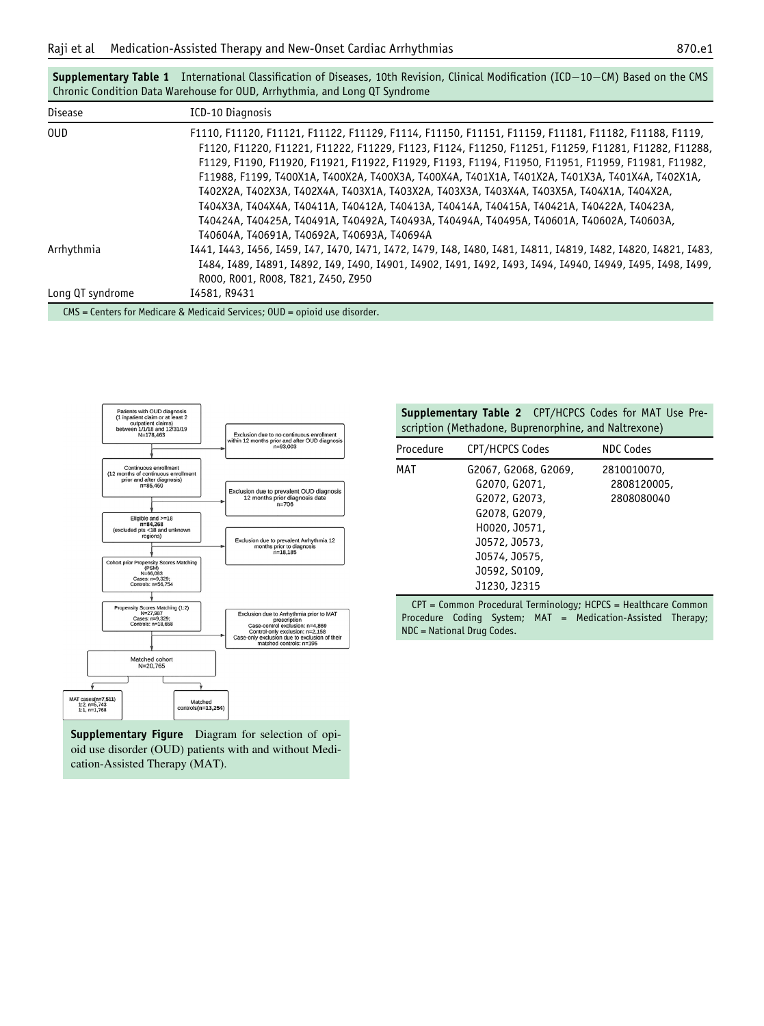<span id="page-7-0"></span>

|                  | Chronic Condition Data Warehouse for OUD, Arrhythmia, and Long QT Syndrome                                                                                                                                                                                                                                                                                                                                                                                                                                                                                                                                                                                                                                                                                   |
|------------------|--------------------------------------------------------------------------------------------------------------------------------------------------------------------------------------------------------------------------------------------------------------------------------------------------------------------------------------------------------------------------------------------------------------------------------------------------------------------------------------------------------------------------------------------------------------------------------------------------------------------------------------------------------------------------------------------------------------------------------------------------------------|
| <b>Disease</b>   | ICD-10 Diagnosis                                                                                                                                                                                                                                                                                                                                                                                                                                                                                                                                                                                                                                                                                                                                             |
| <b>OUD</b>       | F1110, F11120, F11121, F11122, F11129, F1114, F11150, F11151, F11159, F11181, F11182, F11188, F1119,<br>F1120, F11220, F11221, F11222, F11229, F1123, F1124, F11250, F11251, F11259, F11281, F11282, F11288,<br>F1129, F1190, F11920, F11921, F11922, F11929, F1193, F1194, F11950, F11951, F11959, F11981, F11982,<br>F11988, F1199, T400X1A, T400X2A, T400X3A, T400X4A, T401X1A, T401X2A, T401X3A, T401X4A, T402X1A,<br>T402X2A, T402X3A, T402X4A, T403X1A, T403X2A, T403X3A, T403X4A, T403X5A, T404X1A, T404X2A,<br>T404X3A, T404X4A, T40411A, T40412A, T40413A, T40414A, T40415A, T40421A, T40422A, T40423A,<br>T40424A, T40425A, T40491A, T40492A, T40493A, T40494A, T40495A, T40601A, T40602A, T40603A,<br>T40604A, T40691A, T40692A, T40693A, T40694A |
| Arrhythmia       | I441, I443, I456, I459, I47, I470, I471, I472, I479, I48, I480, I481, I4811, I4819, I482, I4820, I4821, I483,<br>I484, I489, I4891, I4892, I49, I490, I4901, I4902, I491, I492, I493, I494, I4940, I4949, I495, I498, I499,<br>R000, R001, R008, T821, Z450, Z950                                                                                                                                                                                                                                                                                                                                                                                                                                                                                            |
| Long QT syndrome | I4581, R9431                                                                                                                                                                                                                                                                                                                                                                                                                                                                                                                                                                                                                                                                                                                                                 |

Supplementary Table 1 International Classification of Diseases, 10th Revision, Clinical Modification (ICD $-10-CM$ ) Based on the CMS

CMS = Centers for Medicare & Medicaid Services; OUD = opioid use disorder.

<span id="page-7-2"></span><span id="page-7-1"></span>

Supplementary Figure Diagram for selection of opioid use disorder (OUD) patients with and without Medication-Assisted Therapy (MAT).

Supplementary Table 2 CPT/HCPCS Codes for MAT Use Prescription (Methadone, Buprenorphine, and Naltrexone)

| Procedure | CPT/HCPCS Codes                                                                                                                                             | NDC Codes                                |
|-----------|-------------------------------------------------------------------------------------------------------------------------------------------------------------|------------------------------------------|
| MAT       | G2067, G2068, G2069,<br>G2070, G2071,<br>G2072, G2073,<br>G2078, G2079,<br>H0020, J0571,<br>J0572, J0573,<br>J0574, J0575,<br>J0592, S0109,<br>J1230, J2315 | 2810010070,<br>2808120005,<br>2808080040 |

CPT = Common Procedural Terminology; HCPCS = Healthcare Common Procedure Coding System; MAT = Medication-Assisted Therapy; NDC = National Drug Codes.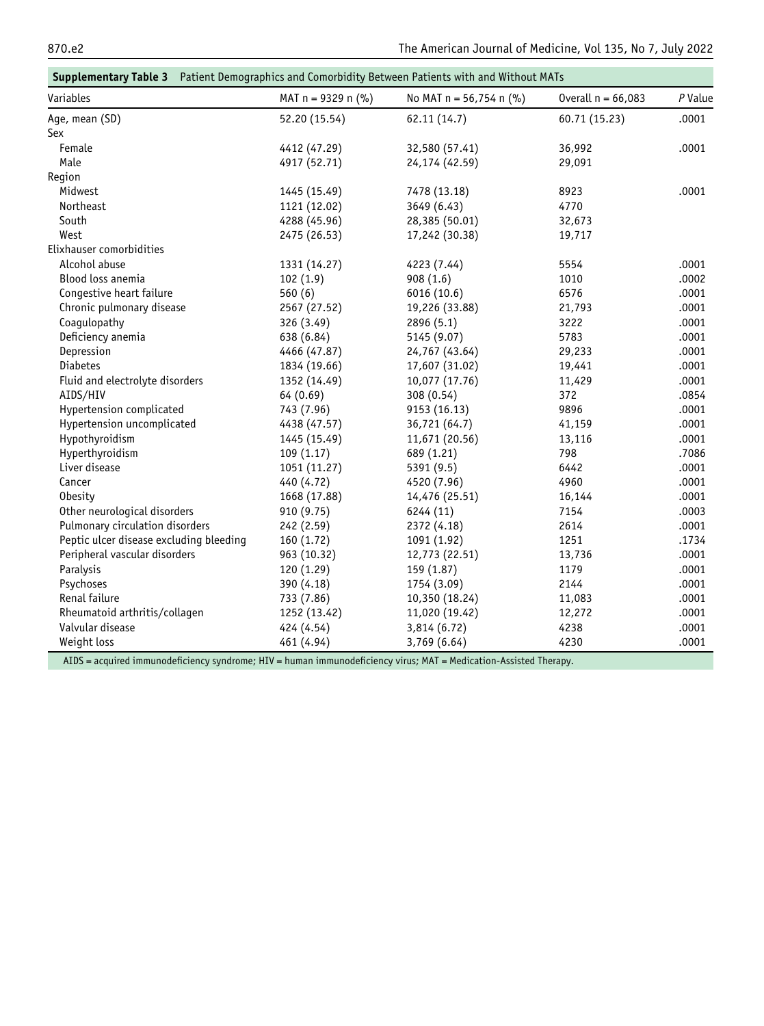<span id="page-8-0"></span>

| Supplementary Table 3 Patient Demographics and Comorbidity Between Patients with and Without MATs |                      |                           |                      |         |
|---------------------------------------------------------------------------------------------------|----------------------|---------------------------|----------------------|---------|
| Variables                                                                                         | MAT $n = 9329$ n (%) | No MAT $n = 56,754$ n (%) | Overall $n = 66,083$ | P Value |
| Age, mean (SD)                                                                                    | 52.20 (15.54)        | 62.11 (14.7)              | 60.71 (15.23)        | .0001   |
| Sex                                                                                               |                      |                           |                      |         |
| Female                                                                                            | 4412 (47.29)         | 32,580 (57.41)            | 36,992               | .0001   |
| Male                                                                                              | 4917 (52.71)         | 24,174 (42.59)            | 29,091               |         |
| Region                                                                                            |                      |                           |                      |         |
| Midwest                                                                                           | 1445 (15.49)         | 7478 (13.18)              | 8923                 | .0001   |
| Northeast                                                                                         | 1121 (12.02)         | 3649 (6.43)               | 4770                 |         |
| South                                                                                             | 4288 (45.96)         | 28,385 (50.01)            | 32,673               |         |
| West                                                                                              | 2475 (26.53)         | 17,242 (30.38)            | 19,717               |         |
| Elixhauser comorbidities                                                                          |                      |                           |                      |         |
| Alcohol abuse                                                                                     | 1331 (14.27)         | 4223 (7.44)               | 5554                 | .0001   |
| Blood loss anemia                                                                                 | 102(1.9)             | 908(1.6)                  | 1010                 | .0002   |
| Congestive heart failure                                                                          | 560(6)               | 6016 (10.6)               | 6576                 | .0001   |
| Chronic pulmonary disease                                                                         | 2567 (27.52)         | 19,226 (33.88)            | 21,793               | .0001   |
| Coagulopathy                                                                                      | 326 (3.49)           | 2896 (5.1)                | 3222                 | .0001   |
| Deficiency anemia                                                                                 | 638 (6.84)           | 5145 (9.07)               | 5783                 | .0001   |
| Depression                                                                                        | 4466 (47.87)         | 24,767 (43.64)            | 29,233               | .0001   |
| <b>Diabetes</b>                                                                                   | 1834 (19.66)         | 17,607 (31.02)            | 19,441               | .0001   |
| Fluid and electrolyte disorders                                                                   | 1352 (14.49)         | 10,077 (17.76)            | 11,429               | .0001   |
| AIDS/HIV                                                                                          | 64 (0.69)            | 308 (0.54)                | 372                  | .0854   |
| Hypertension complicated                                                                          | 743 (7.96)           | 9153 (16.13)              | 9896                 | .0001   |
| Hypertension uncomplicated                                                                        | 4438 (47.57)         | 36,721 (64.7)             | 41,159               | .0001   |
| Hypothyroidism                                                                                    | 1445 (15.49)         | 11,671 (20.56)            | 13,116               | .0001   |
| Hyperthyroidism                                                                                   | 109 (1.17)           | 689 (1.21)                | 798                  | .7086   |
| Liver disease                                                                                     | 1051 (11.27)         | 5391 (9.5)                | 6442                 | .0001   |
| Cancer                                                                                            | 440 (4.72)           | 4520 (7.96)               | 4960                 | .0001   |
| <b>Obesity</b>                                                                                    | 1668 (17.88)         | 14,476 (25.51)            | 16,144               | .0001   |
| Other neurological disorders                                                                      | 910 (9.75)           | 6244 (11)                 | 7154                 | .0003   |
| Pulmonary circulation disorders                                                                   | 242 (2.59)           | 2372 (4.18)               | 2614                 | .0001   |
| Peptic ulcer disease excluding bleeding                                                           | 160 (1.72)           | 1091 (1.92)               | 1251                 | .1734   |
| Peripheral vascular disorders                                                                     | 963 (10.32)          | 12,773 (22.51)            | 13,736               | .0001   |
| Paralysis                                                                                         | 120 (1.29)           | 159 (1.87)                | 1179                 | .0001   |
| Psychoses                                                                                         | 390 (4.18)           | 1754 (3.09)               | 2144                 | .0001   |
| Renal failure                                                                                     | 733 (7.86)           | 10,350 (18.24)            | 11,083               | .0001   |
| Rheumatoid arthritis/collagen                                                                     | 1252 (13.42)         | 11,020 (19.42)            | 12,272               | .0001   |
| Valvular disease                                                                                  | 424 (4.54)           | 3,814 (6.72)              | 4238                 | .0001   |
| Weight loss                                                                                       | 461 (4.94)           | 3,769 (6.64)              | 4230                 | .0001   |

AIDS = acquired immunodeficiency syndrome; HIV = human immunodeficiency virus; MAT = Medication-Assisted Therapy.